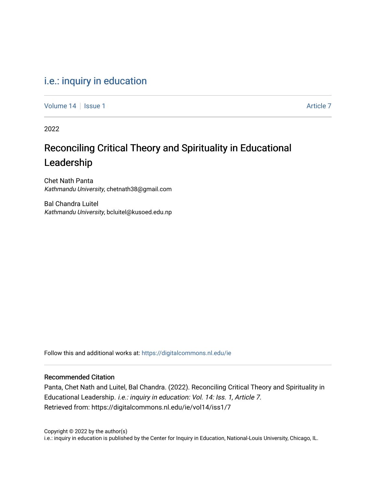### [i.e.: inquiry in education](https://digitalcommons.nl.edu/ie)

[Volume 14](https://digitalcommons.nl.edu/ie/vol14) Suitsue 1 [Article 7](https://digitalcommons.nl.edu/ie/vol14/iss1/7) Article 7 Article 7 Article 7 Article 7 Article 7

2022

# Reconciling Critical Theory and Spirituality in Educational Leadership

Chet Nath Panta Kathmandu University, chetnath38@gmail.com

Bal Chandra Luitel Kathmandu University, bcluitel@kusoed.edu.np

Follow this and additional works at: [https://digitalcommons.nl.edu/ie](https://digitalcommons.nl.edu/ie?utm_source=digitalcommons.nl.edu%2Fie%2Fvol14%2Fiss1%2F7&utm_medium=PDF&utm_campaign=PDFCoverPages) 

#### Recommended Citation

Panta, Chet Nath and Luitel, Bal Chandra. (2022). Reconciling Critical Theory and Spirituality in Educational Leadership. i.e.: inquiry in education: Vol. 14: Iss. 1, Article 7. Retrieved from: https://digitalcommons.nl.edu/ie/vol14/iss1/7

Copyright © 2022 by the author(s) i.e.: inquiry in education is published by the Center for Inquiry in Education, National-Louis University, Chicago, IL.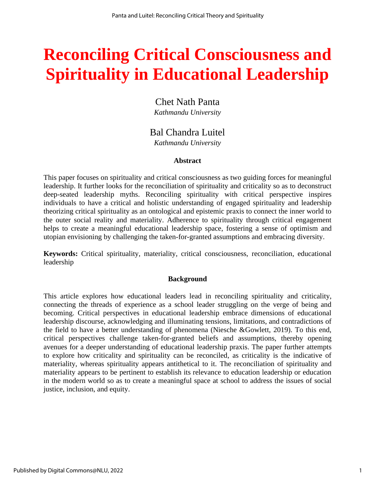# **Reconciling Critical Consciousness and Spirituality in Educational Leadership**

Chet Nath Panta *Kathmandu University*

## Bal Chandra Luitel

*Kathmandu University*

#### **Abstract**

This paper focuses on spirituality and critical consciousness as two guiding forces for meaningful leadership. It further looks for the reconciliation of spirituality and criticality so as to deconstruct deep-seated leadership myths. Reconciling spirituality with critical perspective inspires individuals to have a critical and holistic understanding of engaged spirituality and leadership theorizing critical spirituality as an ontological and epistemic praxis to connect the inner world to the outer social reality and materiality. Adherence to spirituality through critical engagement helps to create a meaningful educational leadership space, fostering a sense of optimism and utopian envisioning by challenging the taken-for-granted assumptions and embracing diversity.

**Keywords:** Critical spirituality, materiality, critical consciousness, reconciliation, educational leadership

#### **Background**

This article explores how educational leaders lead in reconciling spirituality and criticality, connecting the threads of experience as a school leader struggling on the verge of being and becoming. Critical perspectives in educational leadership embrace dimensions of educational leadership discourse, acknowledging and illuminating tensions, limitations, and contradictions of the field to have a better understanding of phenomena (Niesche &Gowlett, 2019). To this end, critical perspectives challenge taken-for-granted beliefs and assumptions, thereby opening avenues for a deeper understanding of educational leadership praxis. The paper further attempts to explore how criticality and spirituality can be reconciled, as criticality is the indicative of materiality, whereas spirituality appears antithetical to it. The reconciliation of spirituality and materiality appears to be pertinent to establish its relevance to education leadership or education in the modern world so as to create a meaningful space at school to address the issues of social justice, inclusion, and equity.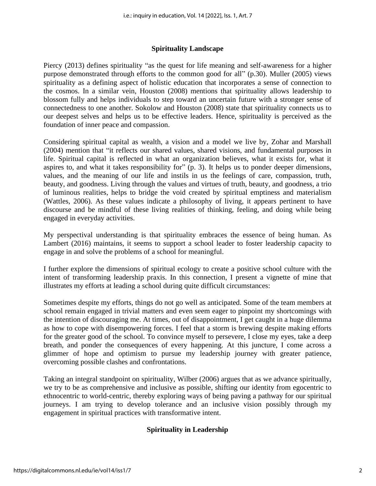#### **Spirituality Landscape**

Piercy (2013) defines spirituality "as the quest for life meaning and self-awareness for a higher purpose demonstrated through efforts to the common good for all" (p.30). Muller (2005) views spirituality as a defining aspect of holistic education that incorporates a sense of connection to the cosmos. In a similar vein, Houston (2008) mentions that spirituality allows leadership to blossom fully and helps individuals to step toward an uncertain future with a stronger sense of connectedness to one another. Sokolow and Houston (2008) state that spirituality connects us to our deepest selves and helps us to be effective leaders. Hence, spirituality is perceived as the foundation of inner peace and compassion.

Considering spiritual capital as wealth, a vision and a model we live by, Zohar and Marshall (2004) mention that "it reflects our shared values, shared visions, and fundamental purposes in life. Spiritual capital is reflected in what an organization believes, what it exists for, what it aspires to, and what it takes responsibility for" (p. 3). It helps us to ponder deeper dimensions, values, and the meaning of our life and instils in us the feelings of care, compassion, truth, beauty, and goodness. Living through the values and virtues of truth, beauty, and goodness, a trio of luminous realities, helps to bridge the void created by spiritual emptiness and materialism (Wattles, 2006). As these values indicate a philosophy of living, it appears pertinent to have discourse and be mindful of these living realities of thinking, feeling, and doing while being engaged in everyday activities.

My perspectival understanding is that spirituality embraces the essence of being human. As Lambert (2016) maintains, it seems to support a school leader to foster leadership capacity to engage in and solve the problems of a school for meaningful.

I further explore the dimensions of spiritual ecology to create a positive school culture with the intent of transforming leadership praxis. In this connection, I present a vignette of mine that illustrates my efforts at leading a school during quite difficult circumstances:

Sometimes despite my efforts, things do not go well as anticipated. Some of the team members at school remain engaged in trivial matters and even seem eager to pinpoint my shortcomings with the intention of discouraging me. At times, out of disappointment, I get caught in a huge dilemma as how to cope with disempowering forces. I feel that a storm is brewing despite making efforts for the greater good of the school. To convince myself to persevere, I close my eyes, take a deep breath, and ponder the consequences of every happening. At this juncture, I come across a glimmer of hope and optimism to pursue my leadership journey with greater patience, overcoming possible clashes and confrontations.

Taking an integral standpoint on spirituality, Wilber (2006) argues that as we advance spiritually, we try to be as comprehensive and inclusive as possible, shifting our identity from egocentric to ethnocentric to world-centric, thereby exploring ways of being paving a pathway for our spiritual journeys. I am trying to develop tolerance and an inclusive vision possibly through my engagement in spiritual practices with transformative intent.

#### **Spirituality in Leadership**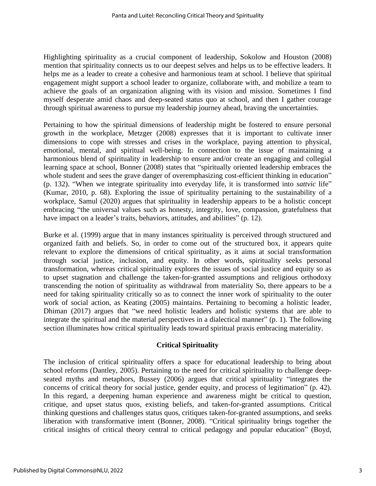Highlighting spirituality as a crucial component of leadership, Sokolow and Houston (2008) mention that spirituality connects us to our deepest selves and helps us to be effective leaders. It helps me as a leader to create a cohesive and harmonious team at school. I believe that spiritual engagement might support a school leader to organize, collaborate with, and mobilize a team to achieve the goals of an organization aligning with its vision and mission. Sometimes I find myself desperate amid chaos and deep-seated status quo at school, and then I gather courage through spiritual awareness to pursue my leadership journey ahead, braving the uncertainties.

Pertaining to how the spiritual dimensions of leadership might be fostered to ensure personal growth in the workplace, Metzger (2008) expresses that it is important to cultivate inner dimensions to cope with stresses and crises in the workplace, paying attention to physical, emotional, mental, and spiritual well-being. In connection to the issue of maintaining a harmonious blend of spirituality in leadership to ensure and/or create an engaging and collegial learning space at school, Bonner (2008) states that "spiritually oriented leadership embraces the whole student and sees the grave danger of overemphasizing cost-efficient thinking in education" (p. 132). "When we integrate spirituality into everyday life, it is transformed into *sattvic* life" (Kumar, 2010, p. 68). Exploring the issue of spirituality pertaining to the sustainability of a workplace, Samul (2020) argues that spirituality in leadership appears to be a holistic concept embracing "the universal values such as honesty, integrity, love, compassion, gratefulness that have impact on a leader's traits, behaviors, attitudes, and abilities" (p. 12).

Burke et al. (1999) argue that in many instances spirituality is perceived through structured and organized faith and beliefs. So, in order to come out of the structured box, it appears quite relevant to explore the dimensions of critical spirituality, as it aims at social transformation through social justice, inclusion, and equity. In other words, spirituality seeks personal transformation, whereas critical spirituality explores the issues of social justice and equity so as to upset stagnation and challenge the taken-for-granted assumptions and religious orthodoxy transcending the notion of spirituality as withdrawal from materiality So, there appears to be a need for taking spirituality critically so as to connect the inner work of spirituality to the outer work of social action, as Keating (2005) maintains. Pertaining to becoming a holistic leader, Dhiman (2017) argues that "we need holistic leaders and holistic systems that are able to integrate the spiritual and the material perspectives in a dialectical manner" (p. 1). The following section illuminates how critical spirituality leads toward spiritual praxis embracing materiality.

#### **Critical Spirituality**

The inclusion of critical spirituality offers a space for educational leadership to bring about school reforms (Dantley, 2005). Pertaining to the need for critical spirituality to challenge deepseated myths and metaphors, Bussey (2006) argues that critical spirituality "integrates the concerns of critical theory for social justice, gender equity, and process of legitimation" (p. 42). In this regard, a deepening human experience and awareness might be critical to question, critique, and upset status quos, existing beliefs, and taken-for-granted assumptions. Critical thinking questions and challenges status quos, critiques taken-for-granted assumptions, and seeks liberation with transformative intent (Bonner, 2008). "Critical spirituality brings together the critical insights of critical theory central to critical pedagogy and popular education" (Boyd,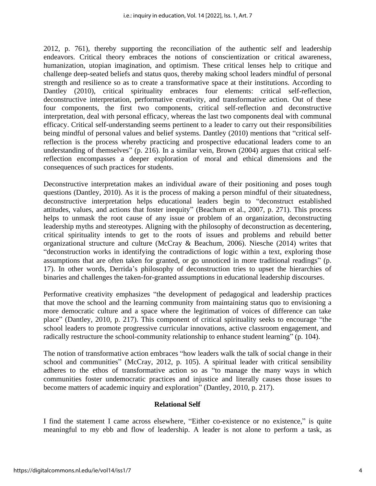2012, p. 761), thereby supporting the reconciliation of the authentic self and leadership endeavors. Critical theory embraces the notions of conscientization or critical awareness, humanization, utopian imagination, and optimism. These critical lenses help to critique and challenge deep-seated beliefs and status quos, thereby making school leaders mindful of personal strength and resilience so as to create a transformative space at their institutions. According to Dantley (2010), critical spirituality embraces four elements: critical self-reflection, deconstructive interpretation, performative creativity, and transformative action. Out of these four components, the first two components, critical self-reflection and deconstructive interpretation, deal with personal efficacy, whereas the last two components deal with communal efficacy. Critical self-understanding seems pertinent to a leader to carry out their responsibilities being mindful of personal values and belief systems. Dantley (2010) mentions that "critical selfreflection is the process whereby practicing and prospective educational leaders come to an understanding of themselves" (p. 216). In a similar vein, Brown (2004) argues that critical selfreflection encompasses a deeper exploration of moral and ethical dimensions and the consequences of such practices for students.

Deconstructive interpretation makes an individual aware of their positioning and poses tough questions (Dantley, 2010). As it is the process of making a person mindful of their situatedness, deconstructive interpretation helps educational leaders begin to "deconstruct established attitudes, values, and actions that foster inequity" (Beachum et al., 2007, p. 271). This process helps to unmask the root cause of any issue or problem of an organization, deconstructing leadership myths and stereotypes. Aligning with the philosophy of deconstruction as decentering, critical spirituality intends to get to the roots of issues and problems and rebuild better organizational structure and culture (McCray & Beachum, 2006). Niesche (2014) writes that "deconstruction works in identifying the contradictions of logic within a text, exploring those assumptions that are often taken for granted, or go unnoticed in more traditional readings" (p. 17). In other words, Derrida's philosophy of deconstruction tries to upset the hierarchies of binaries and challenges the taken-for-granted assumptions in educational leadership discourses.

Performative creativity emphasizes "the development of pedagogical and leadership practices that move the school and the learning community from maintaining status quo to envisioning a more democratic culture and a space where the legitimation of voices of difference can take place" (Dantley, 2010, p. 217). This component of critical spirituality seeks to encourage "the school leaders to promote progressive curricular innovations, active classroom engagement, and radically restructure the school-community relationship to enhance student learning" (p. 104).

The notion of transformative action embraces "how leaders walk the talk of social change in their school and communities" (McCray, 2012, p. 105). A spiritual leader with critical sensibility adheres to the ethos of transformative action so as "to manage the many ways in which communities foster undemocratic practices and injustice and literally causes those issues to become matters of academic inquiry and exploration" (Dantley, 2010, p. 217).

#### **Relational Self**

I find the statement I came across elsewhere, "Either co-existence or no existence," is quite meaningful to my ebb and flow of leadership. A leader is not alone to perform a task, as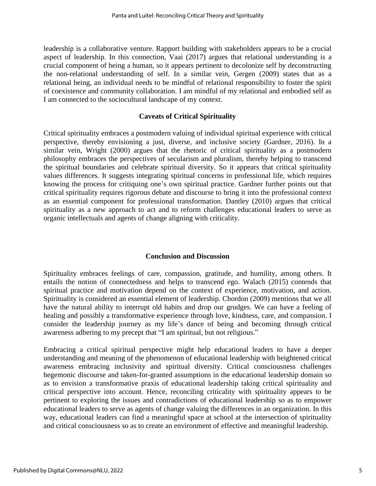leadership is a collaborative venture. Rapport building with stakeholders appears to be a crucial aspect of leadership. In this connection, Vaai (2017) argues that relational understanding is a crucial component of being a human, so it appears pertinent to decolonize self by deconstructing the non-relational understanding of self. In a similar vein, Gergen (2009) states that as a relational being, an individual needs to be mindful of relational responsibility to foster the spirit of coexistence and community collaboration. I am mindful of my relational and embodied self as I am connected to the sociocultural landscape of my context.

#### **Caveats of Critical Spirituality**

Critical spirituality embraces a postmodern valuing of individual spiritual experience with critical perspective, thereby envisioning a just, diverse, and inclusive society (Gardner, 2016). In a similar vein, Wright (2000) argues that the rhetoric of critical spirituality as a postmodern philosophy embraces the perspectives of secularism and pluralism, thereby helping to transcend the spiritual boundaries and celebrate spiritual diversity. So it appears that critical spirituality values differences. It suggests integrating spiritual concerns in professional life, which requires knowing the process for critiquing one's own spiritual practice. Gardner further points out that critical spirituality requires rigorous debate and discourse to bring it into the professional context as an essential component for professional transformation. Dantley (2010) argues that critical spirituality as a new approach to act and to reform challenges educational leaders to serve as organic intellectuals and agents of change aligning with criticality.

#### **Conclusion and Discussion**

Spirituality embraces feelings of care, compassion, gratitude, and humility, among others. It entails the notion of connectedness and helps to transcend ego. Walach (2015) contends that spiritual practice and motivation depend on the context of experience, motivation, and action. Spirituality is considered an essential element of leadership. Chordon (2009) mentions that we all have the natural ability to interrupt old habits and drop our grudges. We can have a feeling of healing and possibly a transformative experience through love, kindness, care, and compassion. I consider the leadership journey as my life's dance of being and becoming through critical awareness adhering to my precept that "I am spiritual, but not religious."

Embracing a critical spiritual perspective might help educational leaders to have a deeper understanding and meaning of the phenomenon of educational leadership with heightened critical awareness embracing inclusivity and spiritual diversity. Critical consciousness challenges hegemonic discourse and taken-for-granted assumptions in the educational leadership domain so as to envision a transformative praxis of educational leadership taking critical spirituality and critical perspective into account. Hence, reconciling criticality with spirituality appears to be pertinent to exploring the issues and contradictions of educational leadership so as to empower educational leaders to serve as agents of change valuing the differences in an organization. In this way, educational leaders can find a meaningful space at school at the intersection of spirituality and critical consciousness so as to create an environment of effective and meaningful leadership.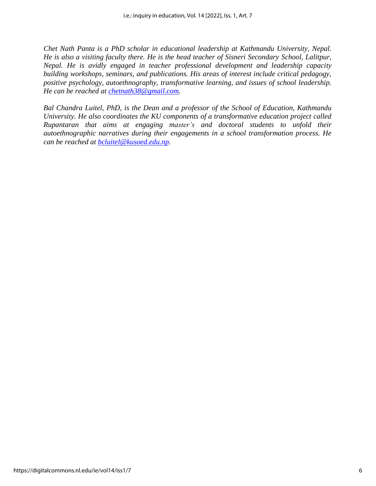*Chet Nath Panta is a PhD scholar in educational leadership at Kathmandu University, Nepal. He is also a visiting faculty there. He is the head teacher of Sisneri Secondary School, Lalitpur, Nepal. He is avidly engaged in teacher professional development and leadership capacity building workshops, seminars, and publications. His areas of interest include critical pedagogy, positive psychology, autoethnography, transformative learning, and issues of school leadership. He can be reached at [chetnath38@gmail.com.](mailto:chetnath38@gmail.com)*

*Bal Chandra Luitel, PhD, is the Dean and a professor of the School of Education, Kathmandu University. He also coordinates the KU components of a transformative education project called Rupantaran that aims at engaging master's and doctoral students to unfold their autoethnographic narratives during their engagements in a school transformation process. He can be reached at [bcluitel@kusoed.edu.np.](mailto:bcluitel@kusoed.edu.np)*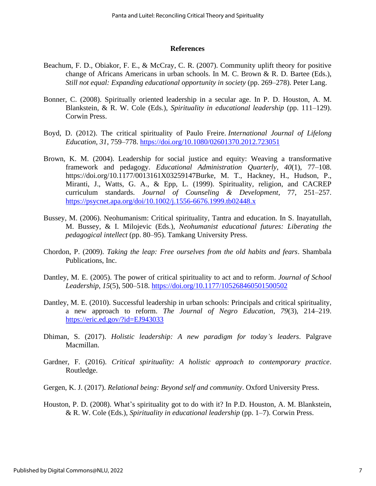#### **References**

- Beachum, F. D., Obiakor, F. E., & McCray, C. R. (2007). Community uplift theory for positive change of Africans Americans in urban schools. In M. C. Brown & R. D. Bartee (Eds.), *Still not equal: Expanding educational opportunity in society* (pp. 269–278). Peter Lang.
- Bonner, C. (2008). Spiritually oriented leadership in a secular age. In P. D. Houston, A. M. Blankstein, & R. W. Cole (Eds.), *Spirituality in educational leadership* (pp. 111–129). Corwin Press.
- Boyd, D. (2012). The critical spirituality of Paulo Freire. *International Journal of Lifelong Education, 31*, 759–778. <https://doi.org/10.1080/02601370.2012.723051>
- Brown, K. M. (2004). Leadership for social justice and equity: Weaving a transformative framework and pedagogy. *Educational Administration Quarterly*, *40*(1), 77–108. https://doi.org/10.1177/0013161X03259147Burke, M. T., Hackney, H., Hudson, P., Miranti, J., Watts, G. A., & Epp, L. (1999). Spirituality, religion, and CACREP curriculum standards. *Journal of Counseling & Development*, 77, 251–257. <https://psycnet.apa.org/doi/10.1002/j.1556-6676.1999.tb02448.x>
- Bussey, M. (2006). Neohumanism: Critical spirituality, Tantra and education. In S. Inayatullah, M. Bussey, & I. Milojevic (Eds.), *Neohumanist educational futures: Liberating the pedagogical intellect* (pp. 80–95). Tamkang University Press.
- Chordon, P. (2009). *Taking the leap: Free ourselves from the old habits and fears*. Shambala Publications, Inc.
- Dantley, M. E. (2005). The power of critical spirituality to act and to reform. *Journal of School Leadership*, *15*(5), 500–518. <https://doi.org/10.1177/105268460501500502>
- Dantley, M. E. (2010). Successful leadership in urban schools: Principals and critical spirituality, a new approach to reform. *The Journal of Negro Education*, *79*(3), 214–219. <https://eric.ed.gov/?id=EJ943033>
- Dhiman, S. (2017). *Holistic leadership: A new paradigm for today's leaders*. Palgrave Macmillan.
- Gardner, F. (2016). *Critical spirituality: A holistic approach to contemporary practice*. Routledge.
- Gergen, K. J. (2017). *Relational being: Beyond self and community*. Oxford University Press.
- Houston, P. D. (2008). What's spirituality got to do with it? In P.D. Houston, A. M. Blankstein, & R. W. Cole (Eds.), *Spirituality in educational leadership* (pp. 1–7). Corwin Press.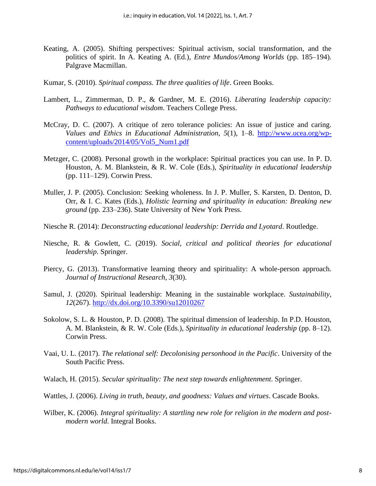- Keating, A. (2005). Shifting perspectives: Spiritual activism, social transformation, and the politics of spirit. In A. Keating A. (Ed.), *Entre Mundos/Among Worlds* (pp. 185–194). Palgrave Macmillan.
- Kumar, S. (2010). *Spiritual compass. The three qualities of life*. Green Books.
- Lambert, L., Zimmerman, D. P., & Gardner, M. E. (2016). *Liberating leadership capacity: Pathways to educational wisdom*. Teachers College Press.
- McCray, D. C. (2007). A critique of zero tolerance policies: An issue of justice and caring. *Values and Ethics in Educational Administration*, *5*(1), 1–8. [http://www.ucea.org/wp](http://www.ucea.org/wp-content/uploads/2014/05/Vol5_Num1.pdf)[content/uploads/2014/05/Vol5\\_Num1.pdf](http://www.ucea.org/wp-content/uploads/2014/05/Vol5_Num1.pdf)
- Metzger, C. (2008). Personal growth in the workplace: Spiritual practices you can use. In P. D. Houston, A. M. Blankstein, & R. W. Cole (Eds.), *Spirituality in educational leadership* (pp. 111–129). Corwin Press.
- Muller, J. P. (2005). Conclusion: Seeking wholeness. In J. P. Muller, S. Karsten, D. Denton, D. Orr, & I. C. Kates (Eds.), *Holistic learning and spirituality in education: Breaking new ground* (pp. 233–236). State University of New York Press.
- Niesche R. (2014): *Deconstructing educational leadership: Derrida and Lyotard*. Routledge.
- Niesche, R. & Gowlett, C. (2019). *Social, critical and political theories for educational leadership*. Springer.
- Piercy, G. (2013). Transformative learning theory and spirituality: A whole-person approach. *Journal of Instructional Research*, *3*(30).
- Samul, J. (2020). Spiritual leadership: Meaning in the sustainable workplace. *Sustainability*, *12*(267).<http://dx.doi.org/10.3390/su12010267>
- Sokolow, S. L. & Houston, P. D. (2008). The spiritual dimension of leadership. In P.D. Houston, A. M. Blankstein, & R. W. Cole (Eds.), *Spirituality in educational leadership* (pp. 8–12). Corwin Press.
- Vaai, U. L. (2017). *The relational self: Decolonising personhood in the Pacific*. University of the South Pacific Press.
- Walach, H. (2015). *Secular spirituality: The next step towards enlightenment*. Springer.
- Wattles, J. (2006). *Living in truth, beauty, and goodness: Values and virtues*. Cascade Books.
- Wilber, K. (2006). *Integral spirituality: A startling new role for religion in the modern and postmodern world*. Integral Books.